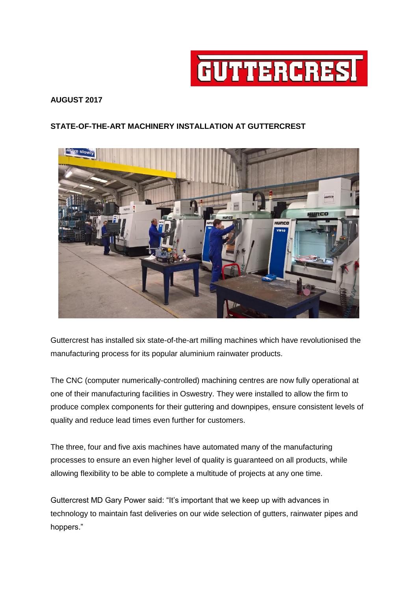

## **AUGUST 2017**

## **STATE-OF-THE-ART MACHINERY INSTALLATION AT GUTTERCREST**



Guttercrest has installed six state-of-the-art milling machines which have revolutionised the manufacturing process for its popular aluminium rainwater products.

The CNC (computer numerically-controlled) machining centres are now fully operational at one of their manufacturing facilities in Oswestry. They were installed to allow the firm to produce complex components for their guttering and downpipes, ensure consistent levels of quality and reduce lead times even further for customers.

The three, four and five axis machines have automated many of the manufacturing processes to ensure an even higher level of quality is guaranteed on all products, while allowing flexibility to be able to complete a multitude of projects at any one time.

Guttercrest MD Gary Power said: "It's important that we keep up with advances in technology to maintain fast deliveries on our wide selection of gutters, rainwater pipes and hoppers."